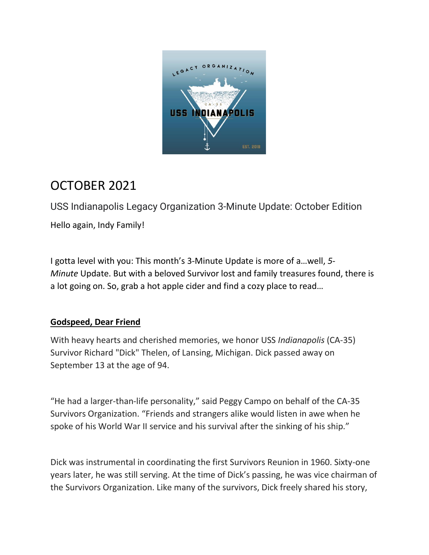

# OCTOBER 2021

USS Indianapolis Legacy Organization 3-Minute Update: October Edition Hello again, Indy Family!

I gotta level with you: This month's 3-Minute Update is more of a…well, *5*- *Minute* Update. But with a beloved Survivor lost and family treasures found, there is a lot going on. So, grab a hot apple cider and find a cozy place to read…

## **Godspeed, Dear Friend**

With heavy hearts and cherished memories, we honor USS *Indianapolis* (CA-35) Survivor Richard "Dick" Thelen, of Lansing, Michigan. Dick passed away on September 13 at the age of 94.

"He had a larger-than-life personality," said Peggy Campo on behalf of the CA-35 Survivors Organization. "Friends and strangers alike would listen in awe when he spoke of his World War II service and his survival after the sinking of his ship."

Dick was instrumental in coordinating the first Survivors Reunion in 1960. Sixty-one years later, he was still serving. At the time of Dick's passing, he was vice chairman of the Survivors Organization. Like many of the survivors, Dick freely shared his story,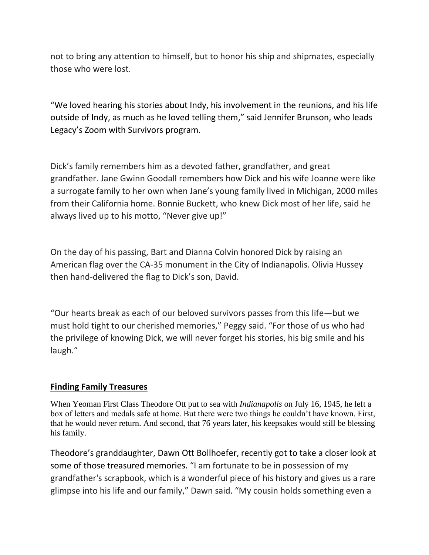not to bring any attention to himself, but to honor his ship and shipmates, especially those who were lost.

"We loved hearing his stories about Indy, his involvement in the reunions, and his life outside of Indy, as much as he loved telling them," said Jennifer Brunson, who leads Legacy's Zoom with Survivors program.

Dick's family remembers him as a devoted father, grandfather, and great grandfather. Jane Gwinn Goodall remembers how Dick and his wife Joanne were like a surrogate family to her own when Jane's young family lived in Michigan, 2000 miles from their California home. Bonnie Buckett, who knew Dick most of her life, said he always lived up to his motto, "Never give up!"

On the day of his passing, Bart and Dianna Colvin honored Dick by raising an American flag over the CA-35 monument in the City of Indianapolis. Olivia Hussey then hand-delivered the flag to Dick's son, David.

"Our hearts break as each of our beloved survivors passes from this life—but we must hold tight to our cherished memories," Peggy said. "For those of us who had the privilege of knowing Dick, we will never forget his stories, his big smile and his laugh."

## **Finding Family Treasures**

When Yeoman First Class Theodore Ott put to sea with *Indianapolis* on July 16, 1945, he left a box of letters and medals safe at home. But there were two things he couldn't have known. First, that he would never return. And second, that 76 years later, his keepsakes would still be blessing his family.

Theodore's granddaughter, Dawn Ott Bollhoefer, recently got to take a closer look at some of those treasured memories. "I am fortunate to be in possession of my grandfather's scrapbook, which is a wonderful piece of his history and gives us a rare glimpse into his life and our family," Dawn said. "My cousin holds something even a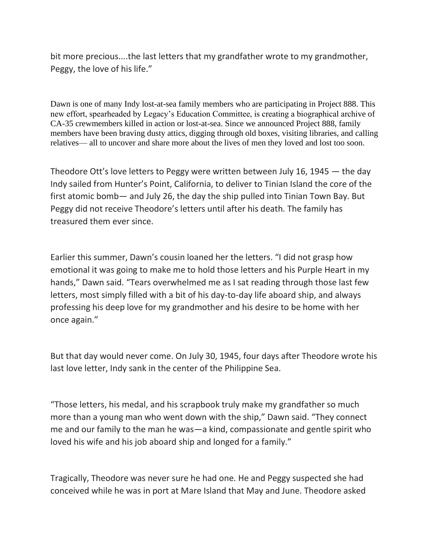bit more precious....the last letters that my grandfather wrote to my grandmother, Peggy, the love of his life."

Dawn is one of many Indy lost-at-sea family members who are participating in Project 888. This new effort, spearheaded by Legacy's Education Committee, is creating a biographical archive of CA-35 crewmembers killed in action or lost-at-sea. Since we announced Project 888, family members have been braving dusty attics, digging through old boxes, visiting libraries, and calling relatives— all to uncover and share more about the lives of men they loved and lost too soon.

Theodore Ott's love letters to Peggy were written between July 16, 1945 — the day Indy sailed from Hunter's Point, California, to deliver to Tinian Island the core of the first atomic bomb— and July 26, the day the ship pulled into Tinian Town Bay. But Peggy did not receive Theodore's letters until after his death. The family has treasured them ever since.

Earlier this summer, Dawn's cousin loaned her the letters. "I did not grasp how emotional it was going to make me to hold those letters and his Purple Heart in my hands," Dawn said. "Tears overwhelmed me as I sat reading through those last few letters, most simply filled with a bit of his day-to-day life aboard ship, and always professing his deep love for my grandmother and his desire to be home with her once again."

But that day would never come. On July 30, 1945, four days after Theodore wrote his last love letter, Indy sank in the center of the Philippine Sea.

"Those letters, his medal, and his scrapbook truly make my grandfather so much more than a young man who went down with the ship," Dawn said. "They connect me and our family to the man he was—a kind, compassionate and gentle spirit who loved his wife and his job aboard ship and longed for a family."

Tragically, Theodore was never sure he had one. He and Peggy suspected she had conceived while he was in port at Mare Island that May and June. Theodore asked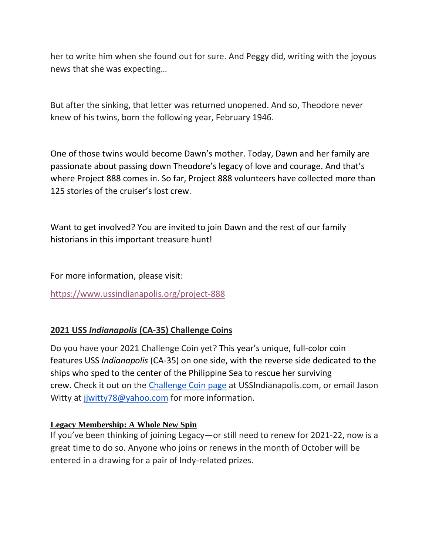her to write him when she found out for sure. And Peggy did, writing with the joyous news that she was expecting…

But after the sinking, that letter was returned unopened. And so, Theodore never knew of his twins, born the following year, February 1946.

One of those twins would become Dawn's mother. Today, Dawn and her family are passionate about passing down Theodore's legacy of love and courage. And that's where Project 888 comes in. So far, Project 888 volunteers have collected more than 125 stories of the cruiser's lost crew.

Want to get involved? You are invited to join Dawn and the rest of our family historians in this important treasure hunt!

For more information, please visit:

<https://www.ussindianapolis.org/project-888>

## **2021 USS** *Indianapolis* **(CA-35) Challenge Coins**

Do you have your 2021 Challenge Coin yet? This year's unique, full-color coin features USS *Indianapolis* (CA-35) on one side, with the reverse side dedicated to the ships who sped to the center of the Philippine Sea to rescue her surviving crew. Check it out on the [Challenge Coin page](https://www.ussindianapolis.com/merchandise) at USSIndianapolis.com, or email Jason Witty at jiwitty78@yahoo.com for more information.

#### **Legacy Membership: A Whole New Spin**

If you've been thinking of joining Legacy—or still need to renew for 2021-22, now is a great time to do so. Anyone who joins or renews in the month of October will be entered in a drawing for a pair of Indy-related prizes.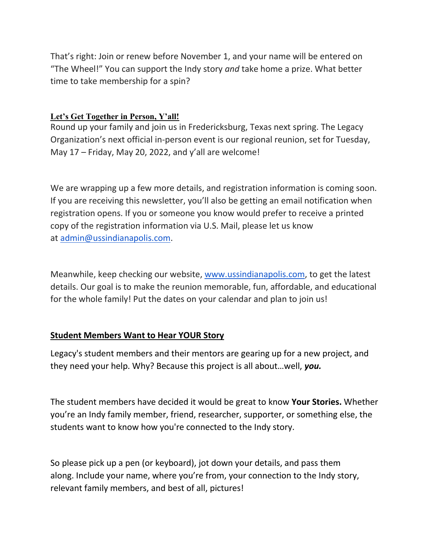That's right: Join or renew before November 1, and your name will be entered on "The Wheel!" You can support the Indy story *and* take home a prize. What better time to take membership for a spin?

#### **Let's Get Together in Person, Y'all!**

Round up your family and join us in Fredericksburg, Texas next spring. The Legacy Organization's next official in-person event is our regional reunion, set for Tuesday, May 17 – Friday, May 20, 2022, and y'all are welcome!

We are wrapping up a few more details, and registration information is coming soon. If you are receiving this newsletter, you'll also be getting an email notification when registration opens. If you or someone you know would prefer to receive a printed copy of the registration information via U.S. Mail, please let us know at [admin@ussindianapolis.com.](mailto:admin@ussindianapolis.com)

Meanwhile, keep checking our website, [www.ussindianapolis.com,](http://www.ussindianapolis.com/) to get the latest details. Our goal is to make the reunion memorable, fun, affordable, and educational for the whole family! Put the dates on your calendar and plan to join us!

## **Student Members Want to Hear YOUR Story**

Legacy's student members and their mentors are gearing up for a new project, and they need your help. Why? Because this project is all about…well, *you.*

The student members have decided it would be great to know **Your Stories.** Whether you're an Indy family member, friend, researcher, supporter, or something else, the students want to know how you're connected to the Indy story.

So please pick up a pen (or keyboard), jot down your details, and pass them along. Include your name, where you're from, your connection to the Indy story, relevant family members, and best of all, pictures!